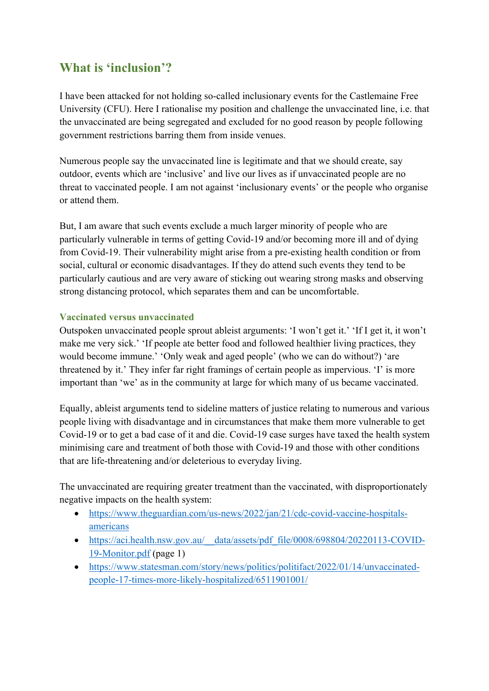## **What is 'inclusion'?**

I have been attacked for not holding so-called inclusionary events for the Castlemaine Free University (CFU). Here I rationalise my position and challenge the unvaccinated line, i.e. that the unvaccinated are being segregated and excluded for no good reason by people following government restrictions barring them from inside venues.

Numerous people say the unvaccinated line is legitimate and that we should create, say outdoor, events which are 'inclusive' and live our lives as if unvaccinated people are no threat to vaccinated people. I am not against 'inclusionary events' or the people who organise or attend them.

But, I am aware that such events exclude a much larger minority of people who are particularly vulnerable in terms of getting Covid-19 and/or becoming more ill and of dying from Covid-19. Their vulnerability might arise from a pre-existing health condition or from social, cultural or economic disadvantages. If they do attend such events they tend to be particularly cautious and are very aware of sticking out wearing strong masks and observing strong distancing protocol, which separates them and can be uncomfortable.

## **Vaccinated versus unvaccinated**

Outspoken unvaccinated people sprout ableist arguments: 'I won't get it.' 'If I get it, it won't make me very sick.' 'If people ate better food and followed healthier living practices, they would become immune.' 'Only weak and aged people' (who we can do without?) 'are threatened by it.' They infer far right framings of certain people as impervious. 'I' is more important than 'we' as in the community at large for which many of us became vaccinated.

Equally, ableist arguments tend to sideline matters of justice relating to numerous and various people living with disadvantage and in circumstances that make them more vulnerable to get Covid-19 or to get a bad case of it and die. Covid-19 case surges have taxed the health system minimising care and treatment of both those with Covid-19 and those with other conditions that are life-threatening and/or deleterious to everyday living.

The unvaccinated are requiring greater treatment than the vaccinated, with disproportionately negative impacts on the health system:

- https://www.theguardian.com/us-news/2022/jan/21/cdc-covid-vaccine-hospitalsamericans
- https://aci.health.nsw.gov.au/ data/assets/pdf file/0008/698804/20220113-COVID-19-Monitor.pdf (page 1)
- https://www.statesman.com/story/news/politics/politifact/2022/01/14/unvaccinatedpeople-17-times-more-likely-hospitalized/6511901001/